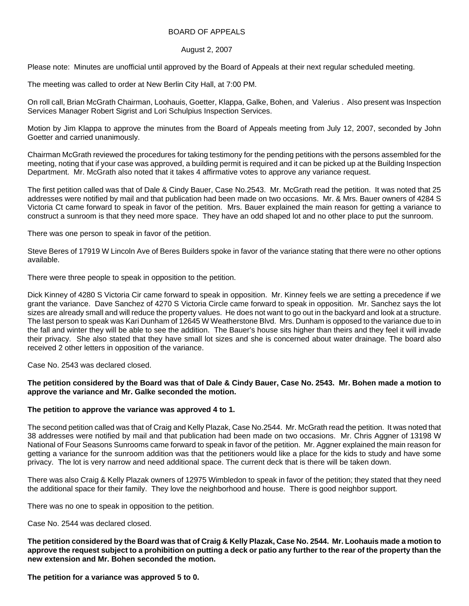### BOARD OF APPEALS

#### August 2, 2007

Please note: Minutes are unofficial until approved by the Board of Appeals at their next regular scheduled meeting.

The meeting was called to order at New Berlin City Hall, at 7:00 PM.

On roll call, Brian McGrath Chairman, Loohauis, Goetter, Klappa, Galke, Bohen, and Valerius . Also present was Inspection Services Manager Robert Sigrist and Lori Schulpius Inspection Services.

Motion by Jim Klappa to approve the minutes from the Board of Appeals meeting from July 12, 2007, seconded by John Goetter and carried unanimously.

Chairman McGrath reviewed the procedures for taking testimony for the pending petitions with the persons assembled for the meeting, noting that if your case was approved, a building permit is required and it can be picked up at the Building Inspection Department. Mr. McGrath also noted that it takes 4 affirmative votes to approve any variance request.

The first petition called was that of Dale & Cindy Bauer, Case No.2543. Mr. McGrath read the petition. It was noted that 25 addresses were notified by mail and that publication had been made on two occasions. Mr. & Mrs. Bauer owners of 4284 S Victoria Ct came forward to speak in favor of the petition. Mrs. Bauer explained the main reason for getting a variance to construct a sunroom is that they need more space. They have an odd shaped lot and no other place to put the sunroom.

There was one person to speak in favor of the petition.

Steve Beres of 17919 W Lincoln Ave of Beres Builders spoke in favor of the variance stating that there were no other options available.

There were three people to speak in opposition to the petition.

Dick Kinney of 4280 S Victoria Cir came forward to speak in opposition. Mr. Kinney feels we are setting a precedence if we grant the variance. Dave Sanchez of 4270 S Victoria Circle came forward to speak in opposition. Mr. Sanchez says the lot sizes are already small and will reduce the property values. He does not want to go out in the backyard and look at a structure. The last person to speak was Kari Dunham of 12645 W Weatherstone Blvd. Mrs. Dunham is opposed to the variance due to in the fall and winter they will be able to see the addition. The Bauer's house sits higher than theirs and they feel it will invade their privacy. She also stated that they have small lot sizes and she is concerned about water drainage. The board also received 2 other letters in opposition of the variance.

Case No. 2543 was declared closed.

## **The petition considered by the Board was that of Dale & Cindy Bauer, Case No. 2543. Mr. Bohen made a motion to approve the variance and Mr. Galke seconded the motion.**

## **The petition to approve the variance was approved 4 to 1.**

The second petition called was that of Craig and Kelly Plazak, Case No.2544. Mr. McGrath read the petition. It was noted that 38 addresses were notified by mail and that publication had been made on two occasions. Mr. Chris Aggner of 13198 W National of Four Seasons Sunrooms came forward to speak in favor of the petition. Mr. Aggner explained the main reason for getting a variance for the sunroom addition was that the petitioners would like a place for the kids to study and have some privacy. The lot is very narrow and need additional space. The current deck that is there will be taken down.

There was also Craig & Kelly Plazak owners of 12975 Wimbledon to speak in favor of the petition; they stated that they need the additional space for their family. They love the neighborhood and house. There is good neighbor support.

There was no one to speak in opposition to the petition.

Case No. 2544 was declared closed.

**The petition considered by the Board was that of Craig & Kelly Plazak, Case No. 2544. Mr. Loohauis made a motion to approve the request subject to a prohibition on putting a deck or patio any further to the rear of the property than the new extension and Mr. Bohen seconded the motion.** 

**The petition for a variance was approved 5 to 0.**